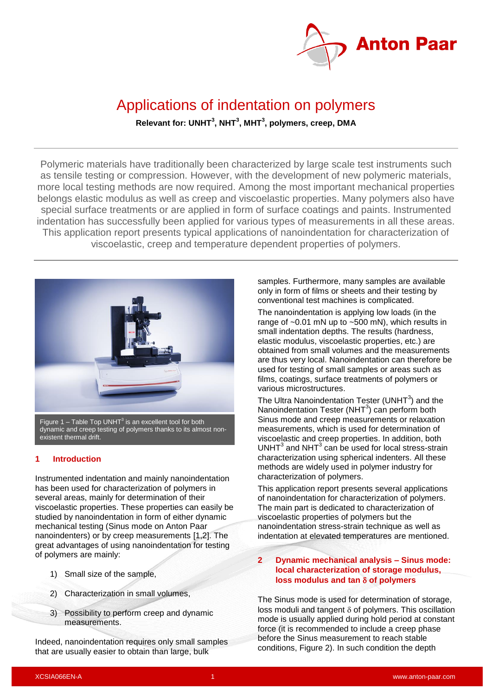

# Applications of indentation on polymers **Relevant for: UNHT<sup>3</sup> , NHT<sup>3</sup> , MHT<sup>3</sup> , polymers, creep, DMA**

Polymeric materials have traditionally been characterized by large scale test instruments such as tensile testing or compression. However, with the development of new polymeric materials, more local testing methods are now required. Among the most important mechanical properties belongs elastic modulus as well as creep and viscoelastic properties. Many polymers also have special surface treatments or are applied in form of surface coatings and paints. Instrumented indentation has successfully been applied for various types of measurements in all these areas. This application report presents typical applications of nanoindentation for characterization of viscoelastic, creep and temperature dependent properties of polymers.



dynamic and creep testing of polymers thanks to its almost nonexistent thermal drift.

#### **1 Introduction**

Instrumented indentation and mainly nanoindentation has been used for characterization of polymers in several areas, mainly for determination of their viscoelastic properties. These properties can easily be studied by nanoindentation in form of either dynamic mechanical testing (Sinus mode on Anton Paar nanoindenters) or by creep measurements [1,2]. The great advantages of using nanoindentation for testing of polymers are mainly:

- 1) Small size of the sample,
- 2) Characterization in small volumes,
- 3) Possibility to perform creep and dynamic measurements.

Indeed, nanoindentation requires only small samples that are usually easier to obtain than large, bulk

samples. Furthermore, many samples are available only in form of films or sheets and their testing by conventional test machines is complicated.

The nanoindentation is applying low loads (in the range of  $\sim$ 0.01 mN up to  $\sim$ 500 mN), which results in small indentation depths. The results (hardness, elastic modulus, viscoelastic properties, etc.) are obtained from small volumes and the measurements are thus very local. Nanoindentation can therefore be used for testing of small samples or areas such as films, coatings, surface treatments of polymers or various microstructures.

The Ultra Nanoindentation Tester (UNHT $3$ ) and the Nanoindentation Tester (NHT $3$ ) can perform both Sinus mode and creep measurements or relaxation measurements, which is used for determination of viscoelastic and creep properties. In addition, both  $UNHT<sup>3</sup>$  and NHT<sup>3</sup> can be used for local stress-strain characterization using spherical indenters. All these methods are widely used in polymer industry for characterization of polymers.

This application report presents several applications of nanoindentation for characterization of polymers. The main part is dedicated to characterization of viscoelastic properties of polymers but the nanoindentation stress-strain technique as well as indentation at elevated temperatures are mentioned.

### **2 Dynamic mechanical analysis – Sinus mode: local characterization of storage modulus, loss modulus and tan of polymers**

The Sinus mode is used for determination of storage, loss moduli and tangent  $\delta$  of polymers. This oscillation mode is usually applied during hold period at constant force (it is recommended to include a creep phase before the Sinus measurement to reach stable conditions, [Figure 2\)](#page-1-0). In such condition the depth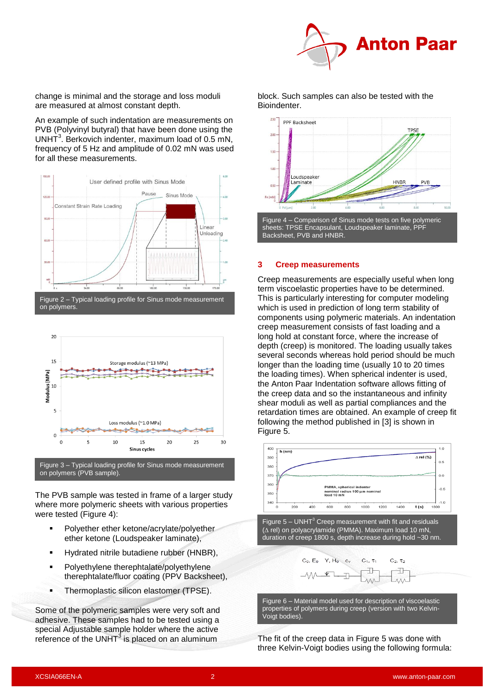

change is minimal and the storage and loss moduli are measured at almost constant depth.

An example of such indentation are measurements on PVB (Polyvinyl butyral) that have been done using the UNHT<sup>3</sup>. Berkovich indenter, maximum load of  $0.5$  mN, frequency of 5 Hz and amplitude of 0.02 mN was used for all these measurements.



<span id="page-1-0"></span>

Figure 3 – Typical loading profile for Sinus mode measurement on polymers (PVB sample).

The PVB sample was tested in frame of a larger study where more polymeric sheets with various properties were tested [\(Figure 4\)](#page-1-1):

- Polyether ether ketone/acrylate/polyether ether ketone (Loudspeaker laminate),
- Hydrated nitrile butadiene rubber (HNBR),
- **•** Polyethylene therephtalate/polyethylene therephtalate/fluor coating (PPV Backsheet),
- **Thermoplastic silicon elastomer (TPSE).**

Some of the polymeric samples were very soft and adhesive. These samples had to be tested using a special Adjustable sample holder where the active reference of the UNHT $3$  is placed on an aluminum

block. Such samples can also be tested with the Bioindenter.



#### <span id="page-1-1"></span>**3 Creep measurements**

Creep measurements are especially useful when long term viscoelastic properties have to be determined. This is particularly interesting for computer modeling which is used in prediction of long term stability of components using polymeric materials. An indentation creep measurement consists of fast loading and a long hold at constant force, where the increase of depth (creep) is monitored. The loading usually takes several seconds whereas hold period should be much longer than the loading time (usually 10 to 20 times the loading times). When spherical indenter is used, the Anton Paar Indentation software allows fitting of the creep data and so the instantaneous and infinity shear moduli as well as partial compliances and the retardation times are obtained. An example of creep fit following the method published in [3] is shown in [Figure 5.](#page-1-2)



<span id="page-1-2"></span>Figure  $5 - UNHT<sup>3</sup>$  Creep measurement with fit and residuals  $(\Delta$  rel) on polyacrylamide (PMMA). Maximum load 10 mN, duration of creep 1800 s, depth increase during hold ~30 nm.



Figure 6 – Material model used for description of viscoelastic properties of polymers during creep (version with two Kelvin-Voigt bodies).

The fit of the creep data in [Figure 5](#page-1-2) was done with three Kelvin-Voigt bodies using the following formula: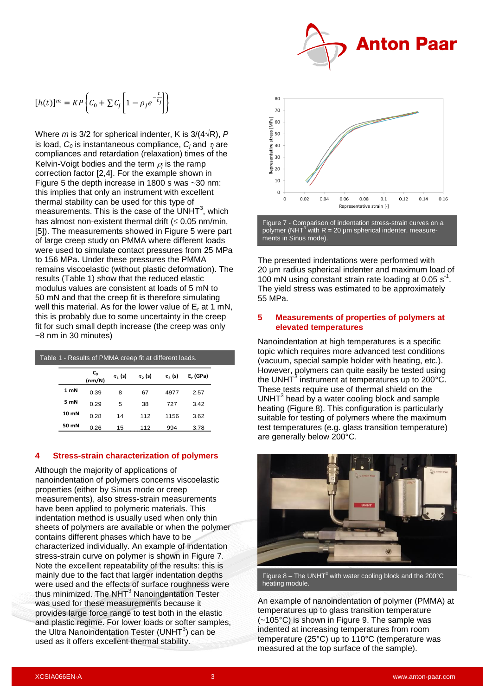

$$
[h(t)]^m = KP\left\{C_0 + \sum C_j \left[1 - \rho_j e^{-\frac{t}{t_j}}\right]\right\}
$$

Where *m* is 3/2 for spherical indenter, K is  $3/(4\sqrt{R})$ , P is load,  $C_0$  is instantaneous compliance,  $C_i$  and  $\tau_i$  are compliances and retardation (relaxation) times of the Kelvin-Voigt bodies and the term  $\rho_j$  is the ramp correction factor [2,4]. For the example shown in [Figure 5](#page-1-2) the depth increase in 1800 s was ~30 nm: this implies that only an instrument with excellent thermal stability can be used for this type of measurements. This is the case of the UNHT $3$ , which has almost non-existent thermal drift  $(\leq 0.05 \text{ nm/min})$ , [5]). The measurements showed in [Figure 5](#page-1-2) were part of large creep study on PMMA where different loads were used to simulate contact pressures from 25 MPa to 156 MPa. Under these pressures the PMMA remains viscoelastic (without plastic deformation). The results [\(Table 1\)](#page-2-0) show that the reduced elastic modulus values are consistent at loads of 5 mN to 50 mN and that the creep fit is therefore simulating well this material. As for the lower value of  $E_r$  at 1 mN, this is probably due to some uncertainty in the creep fit for such small depth increase (the creep was only ~8 nm in 30 minutes)

<span id="page-2-0"></span>

|                 | Table 1 - Results of PMMA creep fit at different loads. |              |                         |                |          |  |  |  |  |  |  |
|-----------------|---------------------------------------------------------|--------------|-------------------------|----------------|----------|--|--|--|--|--|--|
|                 | $C_0$<br>(nm/N)                                         | $\tau_1$ (s) | $\tau$ <sub>2</sub> (s) | $\tau_{3}$ (s) | E, (GPa) |  |  |  |  |  |  |
| 1 <sub>mN</sub> | 0.39                                                    | 8            | 67                      | 4977           | 2.57     |  |  |  |  |  |  |
| 5 mN            | 0.29                                                    | 5            | 38                      | 727            | 3.42     |  |  |  |  |  |  |
| 10 mN           | 0.28                                                    | 14           | 112                     | 1156           | 3.62     |  |  |  |  |  |  |
| 50 mN           | 0.26                                                    | 15           | 112                     | 994            | 3.78     |  |  |  |  |  |  |

#### **4 Stress-strain characterization of polymers**

Although the majority of applications of nanoindentation of polymers concerns viscoelastic properties (either by Sinus mode or creep measurements), also stress-strain measurements have been applied to polymeric materials. This indentation method is usually used when only thin sheets of polymers are available or when the polymer contains different phases which have to be characterized individually. An example of indentation stress-strain curve on polymer is shown in [Figure 7.](#page-2-1) Note the excellent repeatability of the results: this is mainly due to the fact that larger indentation depths were used and the effects of surface roughness were thus minimized. The NHT<sup>3</sup> Nanoindentation Tester was used for these measurements because it provides large force range to test both in the elastic and plastic regime. For lower loads or softer samples, the Ultra Nanoindentation Tester (UNHT $3$ ) can be used as it offers excellent thermal stability.



<span id="page-2-1"></span>Figure 7 - Comparison of indentation stress-strain curves on a polymer (NHT<sup>3</sup> with R = 20  $\mu$ m spherical indenter, measurements in Sinus mode).

The presented indentations were performed with 20 μm radius spherical indenter and maximum load of 100 mN using constant strain rate loading at 0.05  $s^{-1}$ . The yield stress was estimated to be approximately 55 MPa.

#### **5 Measurements of properties of polymers at elevated temperatures**

Nanoindentation at high temperatures is a specific topic which requires more advanced test conditions (vacuum, special sample holder with heating, etc.). However, polymers can quite easily be tested using the UNHT<sup>3</sup> instrument at temperatures up to 200°C. These tests require use of thermal shield on the  $UNHT<sup>3</sup>$  head by a water cooling block and sample heating [\(Figure 8\)](#page-2-2). This configuration is particularly suitable for testing of polymers where the maximum test temperatures (e.g. glass transition temperature) are generally below 200°C.



Figure 8 – The UNHT<sup>3</sup> with water cooling block and the 200°C heating module.

<span id="page-2-2"></span>An example of nanoindentation of polymer (PMMA) at temperatures up to glass transition temperature (~105°C) is shown in [Figure 9.](#page-3-0) The sample was indented at increasing temperatures from room temperature (25°C) up to 110°C (temperature was measured at the top surface of the sample).